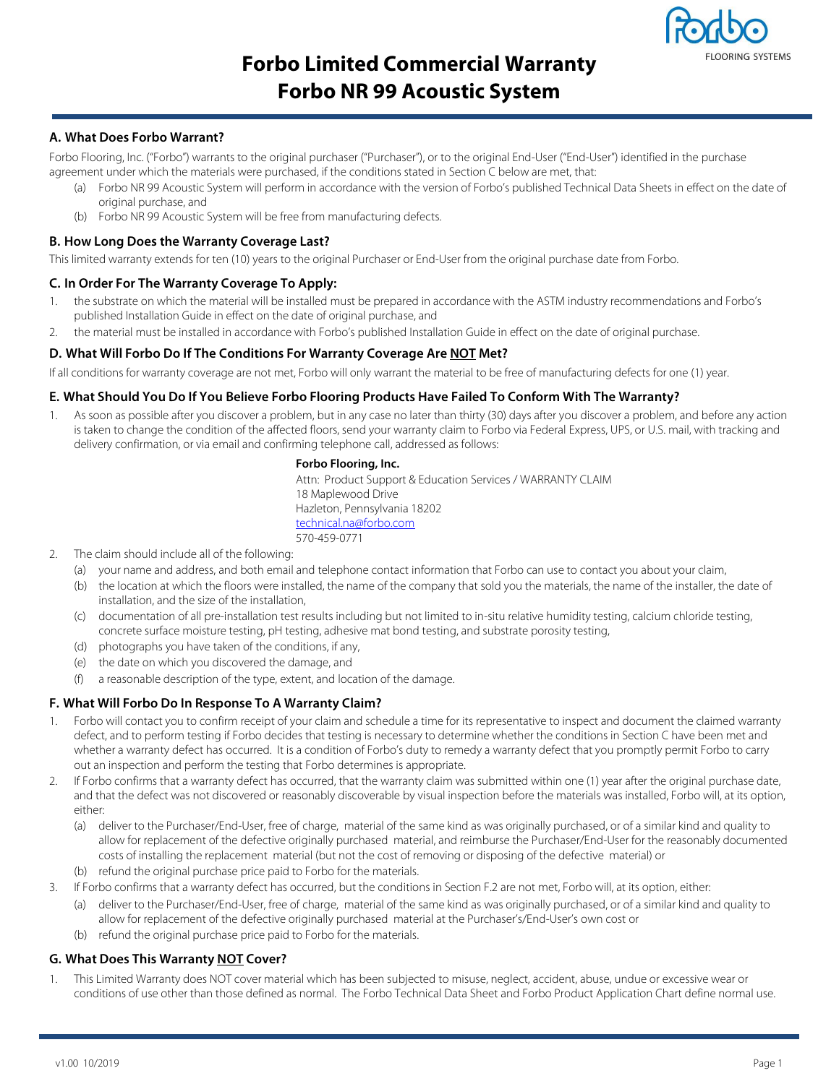

# **Forbo Limited Commercial Warranty Forbo NR 99 Acoustic System**

## **A. What Does Forbo Warrant?**

Forbo Flooring, Inc. ("Forbo") warrants to the original purchaser ("Purchaser"), or to the original End-User ("End-User") identified in the purchase agreement under which the materials were purchased, if the conditions stated in Section C below are met, that:

- (a) Forbo NR 99 Acoustic System will perform in accordance with the version of Forbo's published Technical Data Sheets in effect on the date of original purchase, and
- (b) Forbo NR 99 Acoustic System will be free from manufacturing defects.

## **B. How Long Does the Warranty Coverage Last?**

This limited warranty extends for ten (10) years to the original Purchaser or End-User from the original purchase date from Forbo.

## **C. In Order For The Warranty Coverage To Apply:**

- 1. the substrate on which the material will be installed must be prepared in accordance with the ASTM industry recommendations and Forbo's published Installation Guide in effect on the date of original purchase, and
- 2. the material must be installed in accordance with Forbo's published Installation Guide in effect on the date of original purchase.

## **D. What Will Forbo Do If The Conditions For Warranty Coverage Are NOT Met?**

If all conditions for warranty coverage are not met, Forbo will only warrant the material to be free of manufacturing defects for one (1) year.

#### **E. What Should You Do If You Believe Forbo Flooring Products Have Failed To Conform With The Warranty?**

1. As soon as possible after you discover a problem, but in any case no later than thirty (30) days after you discover a problem, and before any action is taken to change the condition of the affected floors, send your warranty claim to Forbo via Federal Express, UPS, or U.S. mail, with tracking and delivery confirmation, or via email and confirming telephone call, addressed as follows:

#### **Forbo Flooring, Inc.**

Attn: Product Support & Education Services / WARRANTY CLAIM 18 Maplewood Drive Hazleton, Pennsylvania 18202 technical.na@forbo.com 570-459-0771

- 2. The claim should include all of the following:
	- (a) your name and address, and both email and telephone contact information that Forbo can use to contact you about your claim,
	- (b) the location at which the floors were installed, the name of the company that sold you the materials, the name of the installer, the date of installation, and the size of the installation,
	- (c) documentation of all pre-installation test results including but not limited to in-situ relative humidity testing, calcium chloride testing, concrete surface moisture testing, pH testing, adhesive mat bond testing, and substrate porosity testing,
	- (d) photographs you have taken of the conditions, if any,
	- (e) the date on which you discovered the damage, and
	- (f) a reasonable description of the type, extent, and location of the damage.

#### **F. What Will Forbo Do In Response To A Warranty Claim?**

- Forbo will contact you to confirm receipt of your claim and schedule a time for its representative to inspect and document the claimed warranty defect, and to perform testing if Forbo decides that testing is necessary to determine whether the conditions in Section C have been met and whether a warranty defect has occurred. It is a condition of Forbo's duty to remedy a warranty defect that you promptly permit Forbo to carry out an inspection and perform the testing that Forbo determines is appropriate.
- 2. If Forbo confirms that a warranty defect has occurred, that the warranty claim was submitted within one (1) year after the original purchase date, and that the defect was not discovered or reasonably discoverable by visual inspection before the materials was installed, Forbo will, at its option, either:
	- (a) deliver to the Purchaser/End-User, free of charge, material of the same kind as was originally purchased, or of a similar kind and quality to allow for replacement of the defective originally purchased material, and reimburse the Purchaser/End-User for the reasonably documented costs of installing the replacement material (but not the cost of removing or disposing of the defective material) or
	- (b) refund the original purchase price paid to Forbo for the materials.
- 3. If Forbo confirms that a warranty defect has occurred, but the conditions in Section F.2 are not met, Forbo will, at its option, either:
	- (a) deliver to the Purchaser/End-User, free of charge, material of the same kind as was originally purchased, or of a similar kind and quality to allow for replacement of the defective originally purchased material at the Purchaser's/End-User's own cost or
	- (b) refund the original purchase price paid to Forbo for the materials.

## **G. What Does This Warranty NOT Cover?**

This Limited Warranty does NOT cover material which has been subjected to misuse, neglect, accident, abuse, undue or excessive wear or conditions of use other than those defined as normal. The Forbo Technical Data Sheet and Forbo Product Application Chart define normal use.